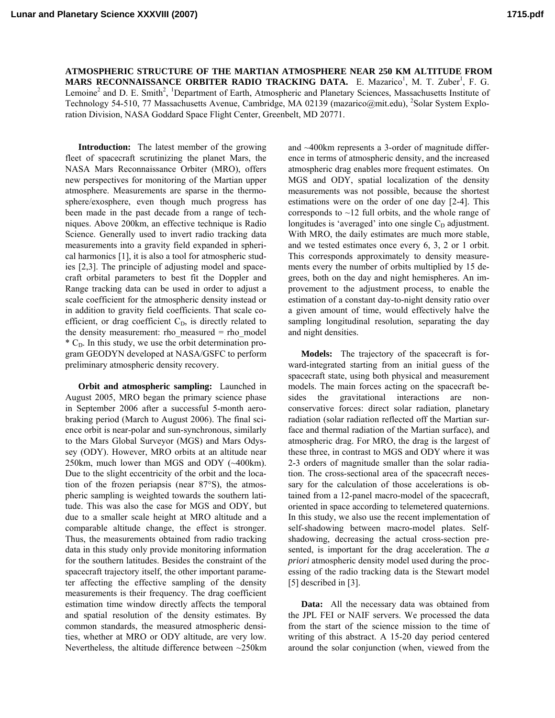**ATMOSPHERIC STRUCTURE OF THE MARTIAN ATMOSPHERE NEAR 250 KM ALTITUDE FROM MARS RECONNAISSANCE ORBITER RADIO TRACKING DATA.** E. Mazarico<sup>1</sup>, M. T. Zuber<sup>1</sup>, F. G. Lemoine<sup>2</sup> and D. E. Smith<sup>2</sup>, <sup>1</sup>Department of Earth, Atmospheric and Planetary Sciences, Massachusetts Institute of Technology 54-510, 77 Massachusetts Avenue, Cambridge, MA 02139 (mazarico@mit.edu), <sup>2</sup>Solar System Exploration Division, NASA Goddard Space Flight Center, Greenbelt, MD 20771.

**Introduction:** The latest member of the growing fleet of spacecraft scrutinizing the planet Mars, the NASA Mars Reconnaissance Orbiter (MRO), offers new perspectives for monitoring of the Martian upper atmosphere. Measurements are sparse in the thermosphere/exosphere, even though much progress has been made in the past decade from a range of techniques. Above 200km, an effective technique is Radio Science. Generally used to invert radio tracking data measurements into a gravity field expanded in spherical harmonics [1], it is also a tool for atmospheric studies [2,3]. The principle of adjusting model and spacecraft orbital parameters to best fit the Doppler and Range tracking data can be used in order to adjust a scale coefficient for the atmospheric density instead or in addition to gravity field coefficients. That scale coefficient, or drag coefficient  $C<sub>D</sub>$ , is directly related to the density measurement: rho measured  $=$  rho model  $*$  C<sub>D</sub>. In this study, we use the orbit determination program GEODYN developed at NASA/GSFC to perform preliminary atmospheric density recovery.

**Orbit and atmospheric sampling:** Launched in August 2005, MRO began the primary science phase in September 2006 after a successful 5-month aerobraking period (March to August 2006). The final science orbit is near-polar and sun-synchronous, similarly to the Mars Global Surveyor (MGS) and Mars Odyssey (ODY). However, MRO orbits at an altitude near 250km, much lower than MGS and ODY (~400km). Due to the slight eccentricity of the orbit and the location of the frozen periapsis (near 87°S), the atmospheric sampling is weighted towards the southern latitude. This was also the case for MGS and ODY, but due to a smaller scale height at MRO altitude and a comparable altitude change, the effect is stronger. Thus, the measurements obtained from radio tracking data in this study only provide monitoring information for the southern latitudes. Besides the constraint of the spacecraft trajectory itself, the other important parameter affecting the effective sampling of the density measurements is their frequency. The drag coefficient estimation time window directly affects the temporal and spatial resolution of the density estimates. By common standards, the measured atmospheric densities, whether at MRO or ODY altitude, are very low. Nevertheless, the altitude difference between ~250km

and ~400km represents a 3-order of magnitude difference in terms of atmospheric density, and the increased atmospheric drag enables more frequent estimates. On MGS and ODY, spatial localization of the density measurements was not possible, because the shortest estimations were on the order of one day [2-4]. This corresponds to  $\sim$ 12 full orbits, and the whole range of longitudes is 'averaged' into one single  $C_D$  adjustment. With MRO, the daily estimates are much more stable, and we tested estimates once every 6, 3, 2 or 1 orbit. This corresponds approximately to density measurements every the number of orbits multiplied by 15 degrees, both on the day and night hemispheres. An improvement to the adjustment process, to enable the estimation of a constant day-to-night density ratio over a given amount of time, would effectively halve the sampling longitudinal resolution, separating the day and night densities.

**Models:** The trajectory of the spacecraft is forward-integrated starting from an initial guess of the spacecraft state, using both physical and measurement models. The main forces acting on the spacecraft besides the gravitational interactions are nonconservative forces: direct solar radiation, planetary radiation (solar radiation reflected off the Martian surface and thermal radiation of the Martian surface), and atmospheric drag. For MRO, the drag is the largest of these three, in contrast to MGS and ODY where it was 2-3 orders of magnitude smaller than the solar radiation. The cross-sectional area of the spacecraft necessary for the calculation of those accelerations is obtained from a 12-panel macro-model of the spacecraft, oriented in space according to telemetered quaternions. In this study, we also use the recent implementation of self-shadowing between macro-model plates. Selfshadowing, decreasing the actual cross-section presented, is important for the drag acceleration. The *a priori* atmospheric density model used during the processing of the radio tracking data is the Stewart model [5] described in [3].

**Data:** All the necessary data was obtained from the JPL FEI or NAIF servers. We processed the data from the start of the science mission to the time of writing of this abstract. A 15-20 day period centered around the solar conjunction (when, viewed from the